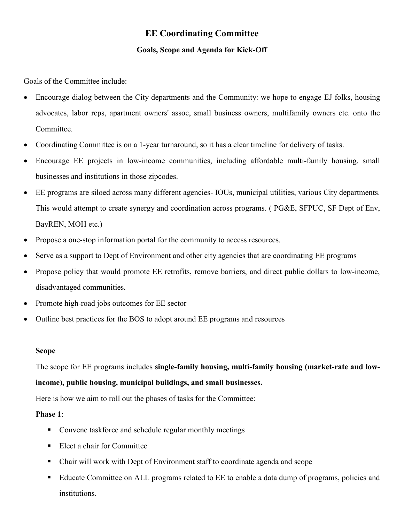## **EE Coordinating Committee**

## **Goals, Scope and Agenda for Kick-Off**

Goals of the Committee include:

- Encourage dialog between the City departments and the Community: we hope to engage EJ folks, housing advocates, labor reps, apartment owners' assoc, small business owners, multifamily owners etc. onto the Committee.
- Coordinating Committee is on a 1-year turnaround, so it has a clear timeline for delivery of tasks.
- Encourage EE projects in low-income communities, including affordable multi-family housing, small businesses and institutions in those zipcodes.
- EE programs are siloed across many different agencies- IOUs, municipal utilities, various City departments. This would attempt to create synergy and coordination across programs. ( PG&E, SFPUC, SF Dept of Env, BayREN, MOH etc.)
- Propose a one-stop information portal for the community to access resources.
- Serve as a support to Dept of Environment and other city agencies that are coordinating EE programs
- Propose policy that would promote EE retrofits, remove barriers, and direct public dollars to low-income, disadvantaged communities.
- Promote high-road jobs outcomes for EE sector
- Outline best practices for the BOS to adopt around EE programs and resources

## **Scope**

The scope for EE programs includes **single-family housing, multi-family housing (market-rate and lowincome), public housing, municipal buildings, and small businesses.** 

Here is how we aim to roll out the phases of tasks for the Committee:

## **Phase 1**:

- Convene taskforce and schedule regular monthly meetings
- Elect a chair for Committee
- Chair will work with Dept of Environment staff to coordinate agenda and scope
- Educate Committee on ALL programs related to EE to enable a data dump of programs, policies and institutions.